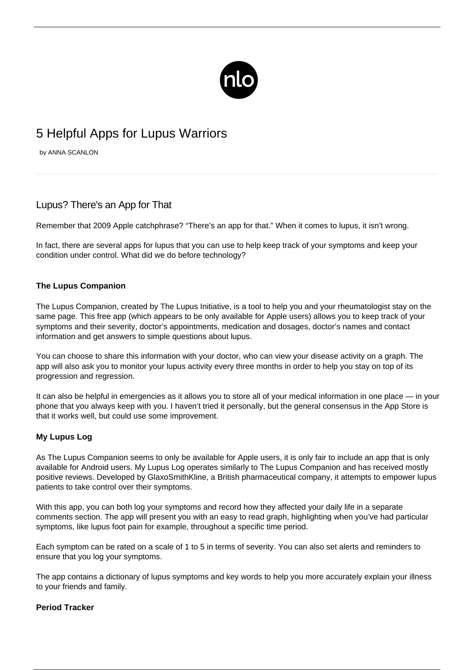

# 5 Helpful Apps for Lupus Warriors

by ANNA SCANLON

## Lupus? There's an App for That

Remember that 2009 Apple catchphrase? "There's an app for that." When it comes to lupus, it isn't wrong.

In fact, there are several apps for lupus that you can use to help keep track of your symptoms and keep your condition under control. What did we do before technology?

#### **The Lupus Companion**

[The Lupus Companion,](https://itunes.apple.com/us/app/lupus-companion/id727297856?mt=8) created by The Lupus Initiative, is a tool to help you and your rheumatologist stay on the same page. This free app (which appears to be only available for Apple users) allows you to keep track of your symptoms and their severity, doctor's appointments, medication and dosages, doctor's names and contact information and get answers to simple questions about lupus.

You can choose to share this information with your doctor, who can view your disease activity on a graph. The app will also ask you to monitor your lupus activity every three months in order to help you stay on top of its progression and regression.

It can also be helpful in emergencies as it allows you to store all of your medical information in one place — in your phone that you always keep with you. I haven't tried it personally, but the general consensus in the App Store is that it works well, but could use some improvement.

### **My Lupus Log**

As The Lupus Companion seems to only be available for Apple users, it is only fair to include an app that is only available for Android users. [My Lupus Log](https://play.google.com/store/apps/details?id=com.gsk.lupus&hl=en) operates similarly to The Lupus Companion and has received mostly positive reviews. Developed by GlaxoSmithKline, a British pharmaceutical company, it attempts to empower lupus patients to take control over their symptoms.

With this app, you can both log your symptoms and record how they affected your daily life in a separate comments section. The app will present you with an easy to read graph, highlighting when you've had particular symptoms, like [lupus foot pain](/lupus-foot-pain/) for example, throughout a specific time period.

Each symptom can be rated on a scale of 1 to 5 in terms of severity. You can also set alerts and reminders to ensure that you log your symptoms.

The app contains a dictionary of lupus symptoms and key words to help you more accurately explain your illness to your friends and family.

#### **Period Tracker**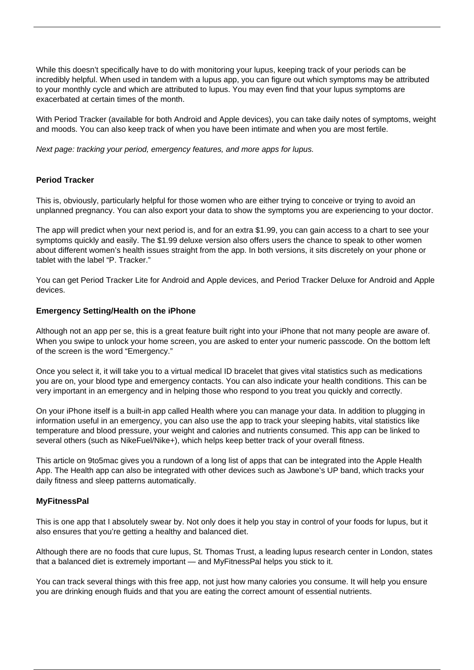While this doesn't specifically have to do with monitoring your lupus, keeping track of your periods can be incredibly helpful. When used in tandem with a lupus app, you can figure out which symptoms may be attributed to your monthly cycle and which are attributed to lupus. You may even find that your lupus symptoms are exacerbated at certain times of the month.

With Period Tracker (available for both Android and Apple devices), you can take daily notes of symptoms, weight and moods. You can also keep track of when you have been intimate and when you are most fertile.

Next page: tracking your period, emergency features, and more apps for lupus.

#### **Period Tracker**

This is, obviously, particularly helpful for those women who are either trying to conceive or trying to avoid an unplanned pregnancy. You can also export your data to show the symptoms you are experiencing to your doctor.

The app will predict when your next period is, and for an extra \$1.99, you can gain access to a chart to see your symptoms quickly and easily. The \$1.99 deluxe version also offers users the chance to speak to other women about different women's health issues straight from the app. In both versions, it sits discretely on your phone or tablet with the label "P. Tracker."

You can get [Period Tracker Lite for Android](https://play.google.com/store/apps/details?id=com.period.tracker.lite&hl=en_GB) and [Apple devices](https://itunes.apple.com/gb/app/period-tracker-lite/id330376830?mt=8), and [Period Tracker Deluxe for Android](https://play.google.com/store/apps/details?id=com.period.tracker.deluxe&hl=en_GB) and [Apple](https://itunes.apple.com/gb/app/period-tracker-deluxe/id289084315?mt=8) [devices.](https://itunes.apple.com/gb/app/period-tracker-deluxe/id289084315?mt=8)

#### **Emergency Setting/Health on the iPhone**

Although not an app per se, this is a great feature built right into your iPhone that not many people are aware of. When you swipe to unlock your home screen, you are asked to enter your numeric passcode. On the bottom left of the screen is the word "Emergency."

Once you select it, it will take you to a virtual medical ID bracelet that gives vital statistics such as medications you are on, your blood type and emergency contacts. You can also indicate your health conditions. This can be very important in an emergency and in helping those who respond to you treat you quickly and correctly.

On your iPhone itself is a built-in app called Health where you can manage your data. In addition to plugging in information useful in an emergency, you can also use the app to track your sleeping habits, vital statistics like temperature and blood pressure, your weight and calories and nutrients consumed. This app can be linked to several others (such as NikeFuel/Nike+), which helps keep better track of your overall fitness.

[This article on 9to5mac](http://9to5mac.com/2014/09/29/ios-8-healthkit-apps-best/) gives you a rundown of a long list of apps that can be integrated into the Apple Health App. The Health app can also be integrated with other devices such as Jawbone's UP band, which tracks your daily fitness and sleep patterns automatically.

#### **MyFitnessPal**

This is one app that I absolutely swear by. Not only does it help you stay in control of your [foods for lupus](/fueling-energy/), but it also ensures that you're getting a healthy and balanced diet.

Although there are no foods that cure lupus, St. Thomas Trust, a leading lupus research center in London, states that a balanced diet is extremely important — and MyFitnessPal helps you stick to it.

You can track several things with this free app, not just how many calories you consume. It will help you ensure you are drinking enough fluids and that you are eating the correct amount of essential nutrients.